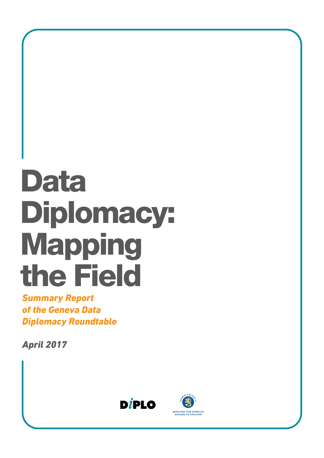# Data Diplomacy: Mapping the Field

*Summary Report of the Geneva Data Diplomacy Roundtable*

*April 2017*



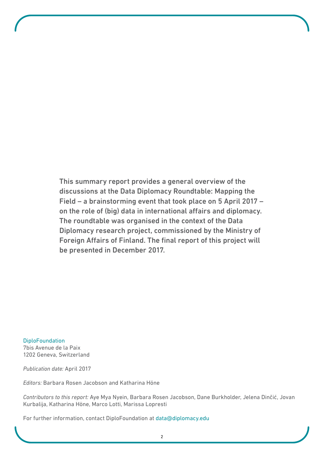This summary report provides a general overview of the discussions at the Data Diplomacy Roundtable: Mapping the Field – a brainstorming event that took place on 5 April 2017 – on the role of (big) data in international affairs and diplomacy. The roundtable was organised in the context of the Data Diplomacy research project, commissioned by the Ministry of Foreign Affairs of Finland. The final report of this project will be presented in December 2017.

**DiploFoundation** 7bis Avenue de la Paix 1202 Geneva, Switzerland

*Publication date:* April 2017

*Editors:* Barbara Rosen Jacobson and Katharina Höne

*Contributors to this report:* Aye Mya Nyein, Barbara Rosen Jacobson, Dane Burkholder, Jelena Dinčić, Jovan Kurbalija, Katharina Höne, Marco Lotti, Marissa Lopresti

For further information, contact DiploFoundation at data@diplomacy.edu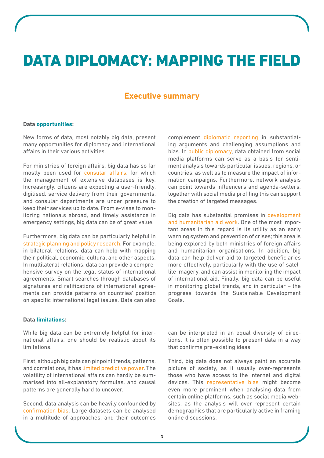# DATA DIPLOMACY: MAPPING THE FIELD

### **Executive summary**

#### **Data opportunities:**

New forms of data, most notably big data, present many opportunities for diplomacy and international affairs in their various activities.

For ministries of foreign affairs, big data has so far mostly been used for consular affairs, for which the management of extensive databases is key. Increasingly, citizens are expecting a user-friendly, digitised, service delivery from their governments, and consular departments are under pressure to keep their services up to date. From e-visas to monitoring nationals abroad, and timely assistance in emergency settings, big data can be of great value.

Furthermore, big data can be particularly helpful in strategic planning and policy research. For example, in bilateral relations, data can help with mapping their political, economic, cultural and other aspects. In multilateral relations, data can provide a comprehensive survey on the legal status of international agreements. Smart searches through databases of signatures and ratifications of international agreements can provide patterns on countries' position on specific international legal issues. Data can also complement diplomatic reporting in substantiating arguments and challenging assumptions and bias. In public diplomacy, data obtained from social media platforms can serve as a basis for sentiment analysis towards particular issues, regions, or countries, as well as to measure the impact of information campaigns. Furthermore, network analysis can point towards influencers and agenda-setters, together with social media profiling this can support the creation of targeted messages.

Big data has substantial promises in development and humanitarian aid work. One of the most important areas in this regard is its utility as an early warning system and prevention of crises; this area is being explored by both ministries of foreign affairs and humanitarian organisations. In addition, big data can help deliver aid to targeted beneficiaries more efectively, particularly with the use of satellite imagery, and can assist in monitoring the impact of international aid. Finally, big data can be useful in monitoring global trends, and in particular – the progress towards the Sustainable Development Goals.

#### **Data limitations:**

While big data can be extremely helpful for international afairs, one should be realistic about its limitations.

First, although big data can pinpoint trends, patterns, and correlations, it has limited predictive power. The volatility of international affairs can hardly be summarised into all-explanatory formulas, and causal patterns are generally hard to uncover.

Second, data analysis can be heavily confounded by confirmation bias. Large datasets can be analysed in a multitude of approaches, and their outcomes can be interpreted in an equal diversity of directions. It is often possible to present data in a way that confirms pre-existing ideas.

Third, big data does not always paint an accurate picture of society, as it usually over-represents those who have access to the Internet and digital devices. This representative bias might become even more prominent when analysing data from certain online platforms, such as social media websites, as the analysis will over-represent certain demographics that are particularly active in framing online discussions.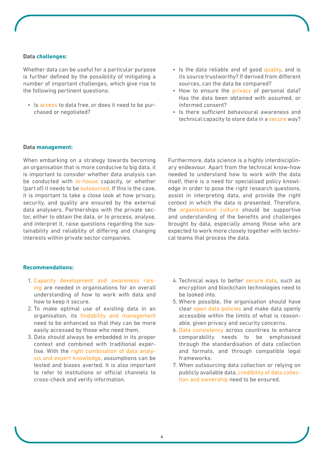#### **Data challenges:**

Whether data can be useful for a particular purpose is further defined by the possibility of mitigating a number of important challenges, which give rise to the following pertinent questions:

- Is access to data free, or does it need to be purchased or negotiated?
- Is the data reliable and of good quality, and is its source trustworthy? If derived from diferent sources, can the data be compared?
- How to ensure the privacy of personal data? Has the data been obtained with assumed, or informed consent?
- Is there sufficient behavioural awareness and technical capacity to store data in a secure way?

#### **Data management:**

When embarking on a strategy towards becoming an organisation that is more conducive to big data, it is important to consider whether data analysis can be conducted with in-house capacity, or whether (part of) it needs to be outsourced. If this is the case, it is important to take a close look at how privacy, security, and quality are ensured by the external data analysers. Partnerships with the private sector, either to obtain the data, or to process, analyse, and interpret it, raise questions regarding the sustainability and reliability of difering and changing interests within private sector companies.

Furthermore, data science is a highly interdisciplinary endeavour. Apart from the technical know-how needed to understand how to work with the data itself, there is a need for specialised policy knowledge in order to pose the right research questions, assist in interpreting data, and provide the right context in which the data is presented. Therefore, the organisational culture should be supportive and understanding of the benefits and challenges brought by data, especially among those who are expected to work more closely together with technical teams that process the data.

#### **Recommendations:**

- 1. Capacity development and awareness raising are needed in organisations for an overall understanding of how to work with data and how to keep it secure.
- 2. To make optimal use of existing data in an organisation, its findability and management need to be enhanced so that they can be more easily accessed by those who need them.
- 3. Data should always be embedded in its proper context and combined with traditional expertise. With the right combination of data analysis and expert knowledge, assumptions can be tested and biases averted. It is also important to refer to institutions or official channels to cross-check and verify information.
- 4. Technical ways to better secure data, such as encryption and blockchain technologies need to be looked into.
- 5. Where possible, the organisation should have clear open data policies and make data openly accessible within the limits of what is reasonable, given privacy and security concerns.
- 6. Data consistency across countries to enhance comparability needs to be emphasised through the standardisation of data collection and formats, and through compatible legal frameworks.
- 7. When outsourcing data collection or relying on publicly available data, credibility of data collection and ownership need to be ensured.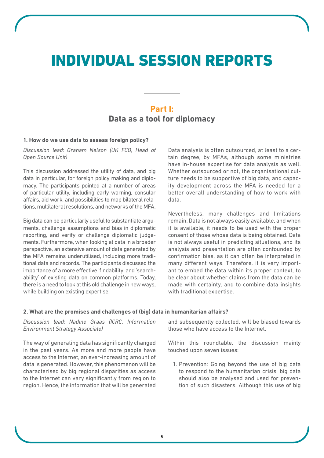# INDIVIDUAL SESSION REPORTS

## **Part I: Data as a tool for diplomacy**

#### **1. How do we use data to assess foreign policy?**

*Discussion lead: Graham Nelson (UK FCO, Head of Open Source Unit)*

This discussion addressed the utility of data, and big data in particular, for foreign policy making and diplomacy. The participants pointed at a number of areas of particular utility, including early warning, consular afairs, aid work, and possibilities to map bilateral relations, multilateral resolutions, and networks of the MFA.

Big data can be particularly useful to substantiate arguments, challenge assumptions and bias in diplomatic reporting, and verify or challenge diplomatic judgements. Furthermore, when looking at data in a broader perspective, an extensive amount of data generated by the MFA remains underutilised, including more traditional data and records. The participants discussed the importance of a more efective 'findability' and 'searchability' of existing data on common platforms. Today, there is a need to look at this old challenge in new ways, while building on existing expertise.

Data analysis is often outsourced, at least to a certain degree, by MFAs, although some ministries have in-house expertise for data analysis as well. Whether outsourced or not, the organisational culture needs to be supportive of big data, and capacity development across the MFA is needed for a better overall understanding of how to work with data.

Nevertheless, many challenges and limitations remain. Data is not always easily available, and when it is available, it needs to be used with the proper consent of those whose data is being obtained. Data is not always useful in predicting situations, and its analysis and presentation are often confounded by confirmation bias, as it can often be interpreted in many diferent ways. Therefore, it is very important to embed the data within its proper context, to be clear about whether claims from the data can be made with certainty, and to combine data insights with traditional expertise.

#### **2. What are the promises and challenges of (big) data in humanitarian afairs?**

*Discussion lead: Nadine Graas (ICRC, Information Environment Strategy Associate)*

The way of generating data has significantly changed in the past years. As more and more people have access to the Internet, an ever-increasing amount of data is generated. However, this phenomenon will be characterised by big regional disparities as access to the Internet can vary significantly from region to region. Hence, the information that will be generated and subsequently collected, will be biased towards those who have access to the Internet.

Within this roundtable, the discussion mainly touched upon seven issues:

1. Prevention: Going beyond the use of big data to respond to the humanitarian crisis, big data should also be analysed and used for prevention of such disasters. Although this use of big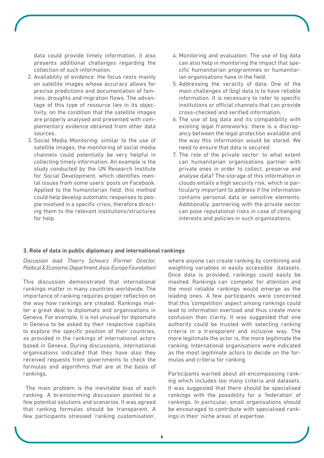data could provide timely information, it also presents additional challenges regarding the collection of such information.

- 2. Availability of evidence: the focus rests mainly on satellite images whose accuracy allows for precise predictions and documentation of famines, droughts and migration flows. The advantage of this type of resource lies in its objectivity, on the condition that the satellite images are properly analysed and presented with complementary evidence obtained from other data sources.
- 3. Social Media Monitoring: similar to the use of satellite images, the monitoring of social media channels could potentially be very helpful in collecting timely information. An example is the study conducted by the UN Research Institute for Social Development, which identifies mental issues from some users' posts on Facebook. Applied to the humanitarian field, this method could help develop automatic responses to people involved in a specific crisis, therefore directing them to the relevant institutions/structures for help.
- 4. Monitoring and evaluation: The use of big data can also help in monitoring the impact that specific humanitarian programmes or humanitarian organisations have in the field.
- 5. Addressing the veracity of data: One of the main challenges of (big) data is to have reliable information. It is necessary to refer to specific institutions or official channels that can provide cross-checked and verified information.
- 6. The use of big data and its compatibility with existing legal frameworks: there is a discrepancy between the legal protection available and the way this information would be stored. We need to ensure that data is secured.
- 7. The role of the private sector: to what extent can humanitarian organisations partner with private ones in order to collect, preserve and analyse data? The storage of this information in clouds entails a high security risk, which is particularly important to address if the information contains personal data or sensitive elements. Additionally, partnering with the private sector can pose reputational risks in case of changing interests and policies in such organisations.

#### **3. Role of data in public diplomacy and international rankings**

*Discussion lead: Thierry Schwarz (Former Director, Political & Economic Department, Asia-Europe Foundation)*

This discussion demonstrated that international rankings matter in many countries worldwide. The importance of ranking requires proper reflection on the way how rankings are created. Rankings matter a great deal to diplomats and organisations in Geneva. For example, it is not unusual for diplomats in Geneva to be asked by their respective capitals to explore the specific position of their countries, as provided in the rankings of international actors based in Geneva. During discussions, international organisations indicated that they have also they received requests from governments to check the formulas and algorithms that are at the basis of rankings.

 The main problem is the inevitable bias of each ranking. A brainstorming discussion pointed to a few potential solutions and scenarios. It was agreed that ranking formulas should be transparent. A few participants stressed 'ranking customisation', where anyone can create ranking by combining and weighting variables in easily accessible datasets. Once data is provided, rankings could easily be mashed. Rankings can 'compete' for attention and the most reliable rankings would emerge as the leading ones. A few participants were concerned that this 'competition' aspect among rankings could lead to information overload and thus create more confusion than clarity. It was suggested that one authority could be trusted with selecting ranking criteria in a transparent and inclusive way. The more legitimate the actor is, the more legitimate the ranking. International organisations were indicated as the most legitimate actors to decide on the formulas and criteria for ranking.

Participants warned about all-encompassing ranking which includes too many criteria and datasets. It was suggested that there should be specialised rankings with the possibility for a 'federation' of rankings. In particular, small organisations should be encouraged to contribute with specialised rankings in their 'niche areas' of expertise.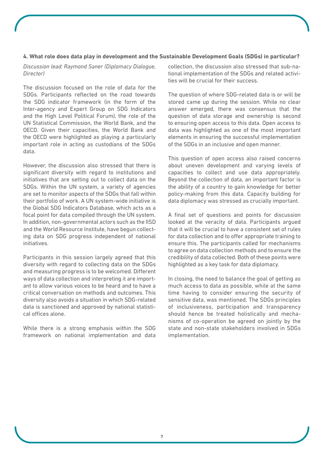#### **4. What role does data play in development and the Sustainable Development Goals (SDGs) in particular?**

*Discussion lead: Raymond Saner (Diplomacy Dialogue, Director)*

The discussion focused on the role of data for the SDGs. Participants reflected on the road towards the SDG indicator framework (in the form of the Inter-agency and Expert Group on SDG Indicators and the High Level Political Forum), the role of the UN Statistical Commission, the World Bank, and the OECD. Given their capacities, the World Bank and the OECD were highlighted as playing a particularly important role in acting as custodians of the SDGs data.

However, the discussion also stressed that there is significant diversity with regard to institutions and initiatives that are setting out to collect data on the SDGs. Within the UN system, a variety of agencies are set to monitor aspects of the SDGs that fall within their portfolio of work. A UN system-wide initiative is the Global SDG Indicators Database, which acts as a focal point for data compiled through the UN system. In addition, non-governmental actors such as the IISD and the World Resource Institute, have begun collecting data on SDG progress independent of national initiatives.

Participants in this session largely agreed that this diversity with regard to collecting data on the SDGs and measuring progress is to be welcomed. Diferent ways of data collection and interpreting it are important to allow various voices to be heard and to have a critical conversation on methods and outcomes. This diversity also avoids a situation in which SDG-related data is sanctioned and approved by national statistical offices alone.

While there is a strong emphasis within the SDG framework on national implementation and data collection, the discussion also stressed that sub-national implementation of the SDGs and related activities will be crucial for their success.

The question of where SDG-related data is or will be stored came up during the session. While no clear answer emerged, there was consensus that the question of data storage and ownership is second to ensuring open access to this data. Open access to data was highlighted as one of the most important elements in ensuring the successful implementation of the SDGs in an inclusive and open manner.

This question of open access also raised concerns about uneven development and varying levels of capacities to collect and use data appropriately. Beyond the collection of data, an important factor is the ability of a country to gain knowledge for better policy-making from this data. Capacity building for data diplomacy was stressed as crucially important.

A final set of questions and points for discussion looked at the veracity of data. Participants argued that it will be crucial to have a consistent set of rules for data collection and to offer appropriate training to ensure this. The participants called for mechanisms to agree on data collection methods and to ensure the credibility of data collected. Both of these points were highlighted as a key task for data diplomacy.

In closing, the need to balance the goal of getting as much access to data as possible, while at the same time having to consider ensuring the security of sensitive data, was mentioned. The SDGs principles of inclusiveness, participation and transparency should hence be treated holistically and mechanisms of co-operation be agreed on jointly by the state and non-state stakeholders involved in SDGs implementation.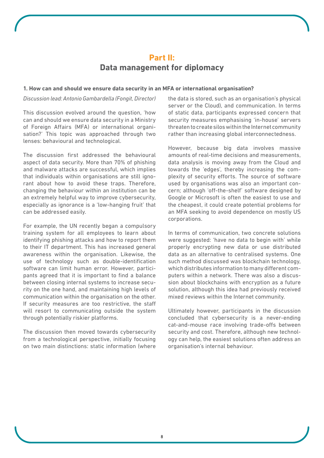## **Part II: Data management for diplomacy**

#### **1. How can and should we ensure data security in an MFA or international organisation?**

#### *Discussion lead: Antonio Gambardella (Fongit, Director)*

This discussion evolved around the question, 'how can and should we ensure data security in a Ministry of Foreign Affairs (MFA) or international organisation?' This topic was approached through two lenses: behavioural and technological.

The discussion first addressed the behavioural aspect of data security. More than 70% of phishing and malware attacks are successful, which implies that individuals within organisations are still ignorant about how to avoid these traps. Therefore, changing the behaviour within an institution can be an extremely helpful way to improve cybersecurity, especially as ignorance is a 'low-hanging fruit' that can be addressed easily.

For example, the UN recently began a compulsory training system for all employees to learn about identifying phishing attacks and how to report them to their IT department. This has increased general awareness within the organisation. Likewise, the use of technology such as double-identification software can limit human error. However, participants agreed that it is important to find a balance between closing internal systems to increase security on the one hand, and maintaining high levels of communication within the organisation on the other. If security measures are too restrictive, the staff will resort to communicating outside the system through potentially riskier platforms.

The discussion then moved towards cybersecurity from a technological perspective, initially focusing on two main distinctions: static information (where

the data is stored, such as an organisation's physical server or the Cloud), and communication. In terms of static data, participants expressed concern that security measures emphasising 'in-house' servers threaten to create silos within the Internet community rather than increasing global interconnectedness.

However, because big data involves massive amounts of real-time decisions and measurements, data analysis is moving away from the Cloud and towards the 'edges', thereby increasing the complexity of security efforts. The source of software used by organisations was also an important concern; although 'off-the-shelf' software designed by Google or Microsoft is often the easiest to use and the cheapest, it could create potential problems for an MFA seeking to avoid dependence on mostly US corporations.

In terms of communication, two concrete solutions were suggested: 'have no data to begin with' while properly encrypting new data or use distributed data as an alternative to centralised systems. One such method discussed was blockchain technology, which distributes information to many diferent computers within a network. There was also a discussion about blockchains with encryption as a future solution, although this idea had previously received mixed reviews within the Internet community.

Ultimately however, participants in the discussion concluded that cybersecurity is a never-ending cat-and-mouse race involving trade-offs between security and cost. Therefore, although new technology can help, the easiest solutions often address an organisation's internal behaviour.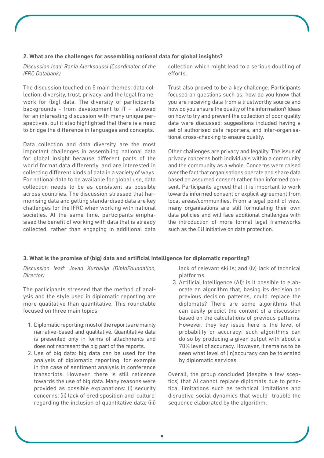#### **2. What are the challenges for assembling national data for global insights?**

*Discussion lead: Rania Alerksoussi (Coordinator of the IFRC Databank)*

The discussion touched on 5 main themes: data collection, diversity, trust, privacy, and the legal framework for (big) data. The diversity of participants' backgrounds - from development to IT - allowed for an interesting discussion with many unique perspectives, but it also highlighted that there is a need to bridge the diference in languages and concepts.

Data collection and data diversity are the most important challenges in assembling national data for global insight because diferent parts of the world format data diferently, and are interested in collecting diferent kinds of data in a variety of ways. For national data to be available for global use, data collection needs to be as consistent as possible across countries. The discussion stressed that harmonising data and getting standardised data are key challenges for the IFRC when working with national societies. At the same time, participants emphasised the benefit of working with data that is already collected, rather than engaging in additional data collection which might lead to a serious doubling of efforts.

Trust also proved to be a key challenge. Participants focused on questions such as: how do you know that you are receiving data from a trustworthy source and how do you ensure the quality of the information? Ideas on how to try and prevent the collection of poor quality data were discussed; suggestions included having a set of authorised data reporters, and inter-organisational cross-checking to ensure quality.

Other challenges are privacy and legality. The issue of privacy concerns both individuals within a community and the community as a whole. Concerns were raised over the fact that organisations operate and share data based on assumed consent rather than informed consent. Participants agreed that it is important to work towards informed consent or explicit agreement from local areas/communities. From a legal point of view, many organisations are still formulating their own data policies and will face additional challenges with the introduction of more formal legal frameworks such as the EU initiative on data protection.

#### **3. What is the promise of (big) data and artificial intelligence for diplomatic reporting?**

*Discussion lead: Jovan Kurbalija (DiploFoundation, Director)*

The participants stressed that the method of analysis and the style used in diplomatic reporting are more qualitative than quantitative. This roundtable focused on three main topics:

- 1. Diplomatic reporting: most of the reports are mainly narrative-based and qualitative. Quantitative data is presented only in forms of attachments and does not represent the big part of the reports.
- 2. Use of big data: big data can be used for the analysis of diplomatic reporting, for example in the case of sentiment analysis in conference transcripts. However, there is still reticence towards the use of big data. Many reasons were provided as possible explanations: (i) security concerns; (ii) lack of predisposition and 'culture' regarding the inclusion of quantitative data; (iii)

lack of relevant skills; and (iv) lack of technical platforms.

3. Artificial Intelligence (AI): is it possible to elaborate an algorithm that, basing its decision on previous decision patterns, could replace the diplomats? There are some algorithms that can easily predict the content of a discussion based on the calculations of previous patterns. However, they key issue here is the level of probability or accuracy: such algorithms can do so by producing a given output with about a 70% level of accuracy. However, it remains to be seen what level of (in)accuracy can be tolerated by diplomatic services.

Overall, the group concluded (despite a few sceptics) that AI cannot replace diplomats due to practical limitations such as technical limitations and disruptive social dynamics that would trouble the sequence elaborated by the algorithm.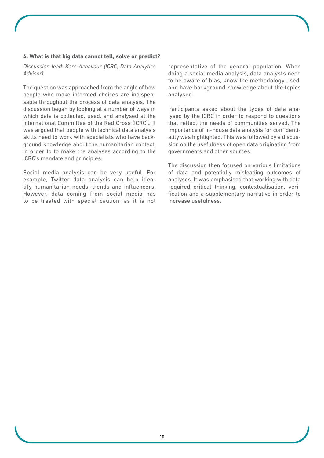#### **4. What is that big data cannot tell, solve or predict?**

*Discussion lead: Kars Aznavour (ICRC, Data Analytics Advisor)*

The question was approached from the angle of how people who make informed choices are indispensable throughout the process of data analysis. The discussion began by looking at a number of ways in which data is collected, used, and analysed at the International Committee of the Red Cross (ICRC).. It was argued that people with technical data analysis skills need to work with specialists who have background knowledge about the humanitarian context, in order to to make the analyses according to the ICRC's mandate and principles.

Social media analysis can be very useful. For example, Twitter data analysis can help identify humanitarian needs, trends and influencers. However, data coming from social media has to be treated with special caution, as it is not representative of the general population. When doing a social media analysis, data analysts need to be aware of bias, know the methodology used, and have background knowledge about the topics analysed.

Participants asked about the types of data analysed by the ICRC in order to respond to questions that reflect the needs of communities served. The importance of in-house data analysis for confidentiality was highlighted. This was followed by a discussion on the usefulness of open data originating from governments and other sources.

The discussion then focused on various limitations of data and potentially misleading outcomes of analyses. It was emphasised that working with data required critical thinking, contextualisation, verification and a supplementary narrative in order to increase usefulness.